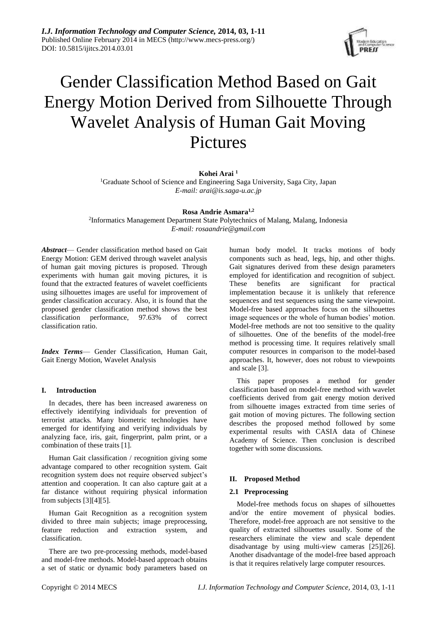

# Gender Classification Method Based on Gait Energy Motion Derived from Silhouette Through Wavelet Analysis of Human Gait Moving Pictures

# **Kohei Arai <sup>1</sup>**

<sup>1</sup>Graduate School of Science and Engineering Saga University, Saga City, Japan *E-mail: arai@is.saga-u.ac.jp*

**Rosa Andrie Asmara1,2**

2 Informatics Management Department State Polytechnics of Malang, Malang, Indonesia *E-mail[: rosaandrie@gmail.c](mailto:fxzhu@public.wh.hb.cn)om*

*Abstract*— Gender classification method based on Gait Energy Motion: GEM derived through wavelet analysis of human gait moving pictures is proposed. Through experiments with human gait moving pictures, it is found that the extracted features of wavelet coefficients using silhouettes images are useful for improvement of gender classification accuracy. Also, it is found that the proposed gender classification method shows the best classification performance, 97.63% of correct classification ratio.

*Index Terms*— Gender Classification, Human Gait, Gait Energy Motion, Wavelet Analysis

# **I. Introduction**

In decades, there has been increased awareness on effectively identifying individuals for prevention of terrorist attacks. Many biometric technologies have emerged for identifying and verifying individuals by analyzing face, iris, gait, fingerprint, palm print, or a combination of these traits [1].

Human Gait classification / recognition giving some advantage compared to other recognition system. Gait recognition system does not require observed subject's attention and cooperation. It can also capture gait at a far distance without requiring physical information from subjects [3][4][5].

Human Gait Recognition as a recognition system divided to three main subjects; image preprocessing, feature reduction and extraction system, and classification.

There are two pre-processing methods, model-based and model-free methods. Model-based approach obtains a set of static or dynamic body parameters based on human body model. It tracks motions of body components such as head, legs, hip, and other thighs. Gait signatures derived from these design parameters employed for identification and recognition of subject. These benefits are significant for practical implementation because it is unlikely that reference sequences and test sequences using the same viewpoint. Model-free based approaches focus on the silhouettes image sequences or the whole of human bodies' motion. Model-free methods are not too sensitive to the quality of silhouettes. One of the benefits of the model-free method is processing time. It requires relatively small computer resources in comparison to the model-based approaches. It, however, does not robust to viewpoints and scale [3].

This paper proposes a method for gender classification based on model-free method with wavelet coefficients derived from gait energy motion derived from silhouette images extracted from time series of gait motion of moving pictures. The following section describes the proposed method followed by some experimental results with CASIA data of Chinese Academy of Science. Then conclusion is described together with some discussions.

# **II. Proposed Method**

### **2.1 Preprocessing**

Model-free methods focus on shapes of silhouettes and/or the entire movement of physical bodies. Therefore, model-free approach are not sensitive to the quality of extracted silhouettes usually. Some of the researchers eliminate the view and scale dependent disadvantage by using multi-view cameras [25][26]. Another disadvantage of the model-free based approach is that it requires relatively large computer resources.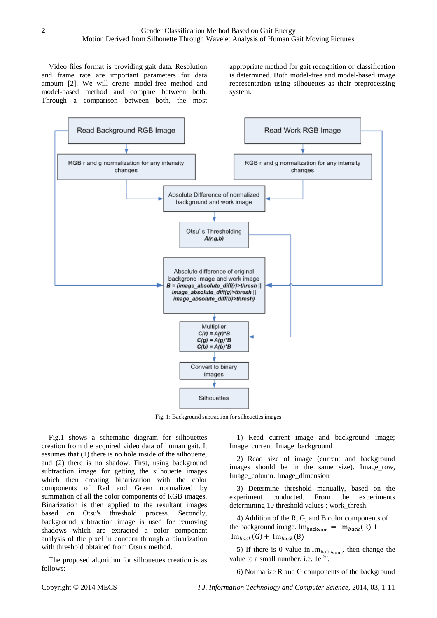Video files format is providing gait data. Resolution and frame rate are important parameters for data amount [2]. We will create model-free method and model-based method and compare between both. Through a comparison between both, the most

appropriate method for gait recognition or classification is determined. Both model-free and model-based image representation using silhouettes as their preprocessing system.



Fig. 1: Background subtraction for silhouettes images

Fig.1 shows a schematic diagram for silhouettes creation from the acquired video data of human gait. It assumes that (1) there is no hole inside of the silhouette, and (2) there is no shadow. First, using background subtraction image for getting the silhouette images which then creating binarization with the color components of Red and Green normalized by summation of all the color components of RGB images. Binarization is then applied to the resultant images based on Otsu's threshold process. Secondly, background subtraction image is used for removing shadows which are extracted a color component analysis of the pixel in concern through a binarization with threshold obtained from Otsu's method.

The proposed algorithm for silhouettes creation is as follows:

1) Read current image and background image; Image\_current, Image\_background

2) Read size of image (current and background images should be in the same size). Image row, Image\_column. Image\_dimension

3) Determine threshold manually, based on the experiment conducted. From the experiments determining 10 threshold values ; work\_thresh.

4) Addition of the R, G, and B color components of the background image.  $Im<sub>backsum</sub> = Im<sub>back</sub>(R) +$  $Im_{back}(G) + Im_{back}(B)$ 

5) If there is 0 value in  $Im<sub>backsum</sub>$ , then change the value to a small number, i.e.  $1e^{-30}$ .

6) Normalize R and G components of the background

Copyright © 2014 MECS *I.J. Information Technology and Computer Science,* 2014, 03, 1-11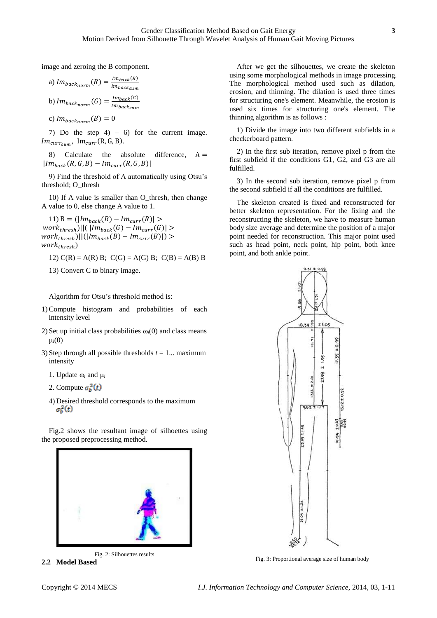image and zeroing the B component.

a) 
$$
Im_{back_{norm}}(R) = \frac{Im_{back(R)}}{Im_{back_{sum}}}
$$
  
b)  $Im_{back_{norm}}(G) = \frac{Im_{back(G)}}{Im_{back_{sum}}}$   
c)  $Im_{back_{norm}}(B) = 0$ 

7) Do the step  $4$ ) – 6) for the current image.  $Im<sub>currsum</sub>, Im<sub>curr</sub>(R, G, B).$ 

8) Calculate the absolute difference,  $A =$  $|Im_{back}(R, G, B) - Im_{curr}(R, G, B)|$ 

9) Find the threshold of A automatically using Otsu's threshold; O\_thresh

10) If A value is smaller than O\_thresh, then change A value to 0, else change A value to 1.

11) B =  $(|Im_{back}(R) - Im_{curr}(R)| >$  $work_{thresh}) || ( | Im_{back}(G) - Im_{curr}(G) | >$  $work_{thresh}) || (|Im_{back}(B) - Im_{curr}(B)|)$  $work_{thresh}$ )

12)  $C(R) = A(R) B$ ;  $C(G) = A(G) B$ ;  $C(B) = A(B) B$ 

13) Convert C to binary image.

Algorithm for Otsu's threshold method is:

- 1)Compute histogram and probabilities of each intensity level
- 2) Set up initial class probabilities  $\omega_i(0)$  and class means  $\mu_i(0)$
- 3) Step through all possible thresholds *t* = 1... maximum intensity
	- 1. Update  $\omega_i$  and  $\mu_i$
	- 2. Compute  $\sigma_h^2(t)$
	- 4) Desired threshold corresponds to the maximum  $\sigma_b^2(t)$

Fig.2 shows the resultant image of silhoettes using the proposed preprocessing method.



Fig. 2: Silhouettes results **2.2 Model Based**

After we get the silhouettes, we create the skeleton using some morphological methods in image processing. The morphological method used such as dilation, erosion, and thinning. The dilation is used three times for structuring one's element. Meanwhile, the erosion is used six times for structuring one's element. The thinning algorithm is as follows :

1) Divide the image into two different subfields in a checkerboard pattern.

2) In the first sub iteration, remove pixel p from the first subfield if the conditions G1, G2, and G3 are all fulfilled.

3) In the second sub iteration, remove pixel p from the second subfield if all the conditions are fulfilled.

The skeleton created is fixed and reconstructed for better skeleton representation. For the fixing and the reconstructing the skeleton, we have to measure human body size average and determine the position of a major point needed for reconstruction. This major point used such as head point, neck point, hip point, both knee point, and both ankle point.



Fig. 3: Proportional average size of human body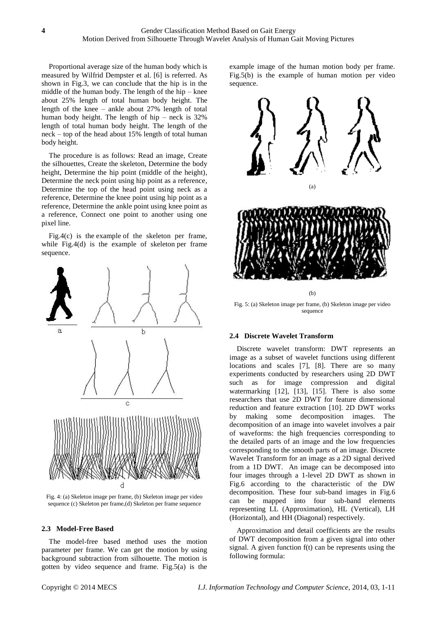Proportional average size of the human body which is measured by Wilfrid Dempster et al. [6] is referred. As shown in Fig.3, we can conclude that the hip is in the middle of the human body. The length of the hip – knee about 25% length of total human body height. The length of the knee – ankle about 27% length of total human body height. The length of hip – neck is 32% length of total human body height. The length of the neck – top of the head about 15% length of total human body height.

The procedure is as follows: Read an image, Create the silhouettes, Create the skeleton, Determine the body height, Determine the hip point (middle of the height), Determine the neck point using hip point as a reference, Determine the top of the head point using neck as a reference, Determine the knee point using hip point as a reference, Determine the ankle point using knee point as a reference, Connect one point to another using one pixel line.

Fig.4(c) is the example of the skeleton per frame, while Fig.4(d) is the example of skeleton per frame sequence.



Fig. 4: (a) Skeleton image per frame, (b) Skeleton image per video sequence (c) Skeleton per frame,(d) Skeleton per frame sequence

#### **2.3 Model-Free Based**

The model-free based method uses the motion parameter per frame. We can get the motion by using background subtraction from silhouette. The motion is gotten by video sequence and frame. Fig.5(a) is the example image of the human motion body per frame. Fig.5(b) is the example of human motion per video sequence.



Fig. 5: (a) Skeleton image per frame, (b) Skeleton image per video sequence

## **2.4 Discrete Wavelet Transform**

Discrete wavelet transform: DWT represents an image as a subset of wavelet functions using different locations and scales [7], [8]. There are so many experiments conducted by researchers using 2D DWT such as for image compression and digital watermarking [12], [13], [15]. There is also some researchers that use 2D DWT for feature dimensional reduction and feature extraction [10]. 2D DWT works by making some decomposition images. The decomposition of an image into wavelet involves a pair of waveforms: the high frequencies corresponding to the detailed parts of an image and the low frequencies corresponding to the smooth parts of an image. Discrete Wavelet Transform for an image as a 2D signal derived from a 1D DWT. An image can be decomposed into four images through a 1-level 2D DWT as shown in Fig.6 according to the characteristic of the DW decomposition. These four sub-band images in Fig.6 can be mapped into four sub-band elements representing LL (Approximation), HL (Vertical), LH (Horizontal), and HH (Diagonal) respectively.

Approximation and detail coefficients are the results of DWT decomposition from a given signal into other signal. A given function f(t) can be represents using the following formula: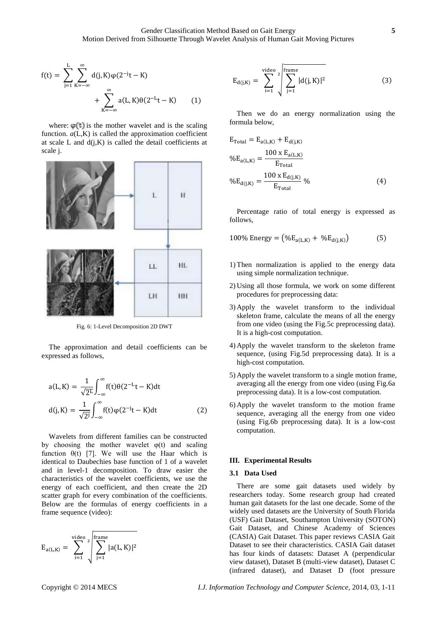$$
f(t) = \sum_{j=1}^{L} \sum_{K=-\infty}^{\infty} d(j, K) \varphi(2^{-j}t - K) + \sum_{K=-\infty}^{\infty} a(L, K) \theta(2^{-L}t - K) \qquad (1)
$$

where:  $\varphi(t)$  is the mother wavelet and is the scaling function.  $a(L,K)$  is called the approximation coefficient at scale L and  $d(i,K)$  is called the detail coefficients at scale j.



Fig. 6: 1-Level Decomposition 2D DWT

The approximation and detail coefficients can be expressed as follows,

$$
a(L, K) = \frac{1}{\sqrt{2^{L}}} \int_{-\infty}^{\infty} f(t) \theta(2^{-L}t - K) dt
$$

$$
d(j, K) = \frac{1}{\sqrt{2^{j}}} \int_{-\infty}^{\infty} f(t) \varphi(2^{-j}t - K) dt
$$
(2)

Wavelets from different families can be constructed by choosing the mother wavelet  $\varphi(t)$  and scaling function  $\theta(t)$  [7]. We will use the Haar which is identical to Daubechies base function of 1 of a wavelet and in level-1 decomposition. To draw easier the characteristics of the wavelet coefficients, we use the energy of each coefficient, and then create the 2D scatter graph for every combination of the coefficients. Below are the formulas of energy coefficients in a frame sequence (video):

$$
E_{a(L,K)}=\sum_{i=1}^{video} \sqrt[2]{\sum_{j=1}^{frame} |a(L,K)|^2}
$$

$$
E_{d(j,K)} = \sum_{i=1}^{video} \sum_{j=1}^{r \text{frame}} |d(j,K)|^2
$$
 (3)

Then we do an energy normalization using the formula below,

$$
E_{\text{Total}} = E_{a(L,K)} + E_{d(j,K)}
$$
  
\n
$$
\%E_{a(L,K)} = \frac{100 \times E_{a(L,K)}}{E_{\text{Total}}}
$$
  
\n
$$
\%E_{d(j,K)} = \frac{100 \times E_{d(j,K)}}{E_{\text{Total}}}
$$
\n(4)

Percentage ratio of total energy is expressed as follows,

100% Energy = 
$$
(\%E_{a(L,K)} + \%E_{d(j,K)})
$$
 (5)

- 1) Then normalization is applied to the energy data using simple normalization technique.
- 2) Using all those formula, we work on some different procedures for preprocessing data:
- 3) Apply the wavelet transform to the individual skeleton frame, calculate the means of all the energy from one video (using the Fig.5c preprocessing data). It is a high-cost computation.
- 4) Apply the wavelet transform to the skeleton frame sequence, (using Fig.5d preprocessing data). It is a high-cost computation.
- 5) Apply the wavelet transform to a single motion frame, averaging all the energy from one video (using Fig.6a preprocessing data). It is a low-cost computation.
- 6) Apply the wavelet transform to the motion frame sequence, averaging all the energy from one video (using Fig.6b preprocessing data). It is a low-cost computation.

#### **III. Experimental Results**

#### **3.1 Data Used**

There are some gait datasets used widely by researchers today. Some research group had created human gait datasets for the last one decade. Some of the widely used datasets are the University of South Florida (USF) Gait Dataset, Southampton University (SOTON) Gait Dataset, and Chinese Academy of Sciences (CASIA) Gait Dataset. This paper reviews CASIA Gait Dataset to see their characteristics. CASIA Gait dataset has four kinds of datasets: Dataset A (perpendicular view dataset), Dataset B (multi-view dataset), Dataset C (infrared dataset), and Dataset D (foot pressure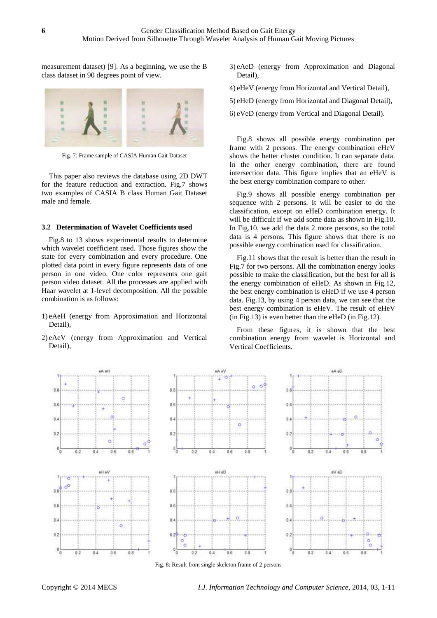measurement dataset) [9]. As a beginning, we use the B class dataset in 90 degrees point of view.



Fig. 7: Frame sample of CASIA Human Gait Dataset

This paper also reviews the database using 2D DWT for the feature reduction and extraction. Fig.7 shows two examples of CASIA B class Human Gait Dataset male and female.

#### **3.2 Determination of Wavelet Coefficients used**

Fig.8 to 13 shows experimental results to determine which wavelet coefficient used. Those figures show the state for every combination and every procedure. One plotted data point in every figure represents data of one person in one video. One color represents one gait person video dataset. All the processes are applied with Haar wavelet at 1-level decomposition. All the possible combination is as follows:

- 1) eAeH (energy from Approximation and Horizontal Detail),
- 2) eAeV (energy from Approximation and Vertical Detail),
- 3) eAeD (energy from Approximation and Diagonal Detail),
- 4) eHeV (energy from Horizontal and Vertical Detail),
- 5) eHeD (energy from Horizontal and Diagonal Detail),
- 6) eVeD (energy from Vertical and Diagonal Detail).

Fig.8 shows all possible energy combination per frame with 2 persons. The energy combination eHeV shows the better cluster condition. It can separate data. In the other energy combination, there are found intersection data. This figure implies that an eHeV is the best energy combination compare to other.

Fig.9 shows all possible energy combination per sequence with 2 persons. It will be easier to do the classification, except on eHeD combination energy. It will be difficult if we add some data as shown in Fig.10. In Fig.10, we add the data 2 more persons, so the total data is 4 persons. This figure shows that there is no possible energy combination used for classification.

Fig.11 shows that the result is better than the result in Fig.7 for two persons. All the combination energy looks possible to make the classification, but the best for all is the energy combination of eHeD. As shown in Fig.12, the best energy combination is eHeD if we use 4 person data. Fig.13, by using 4 person data, we can see that the best energy combination is eHeV. The result of eHeV (in Fig.13) is even better than the eHeD (in Fig.12).

From these figures, it is shown that the best combination energy from wavelet is Horizontal and Vertical Coefficients.



Fig. 8: Result from single skeleton frame of 2 persons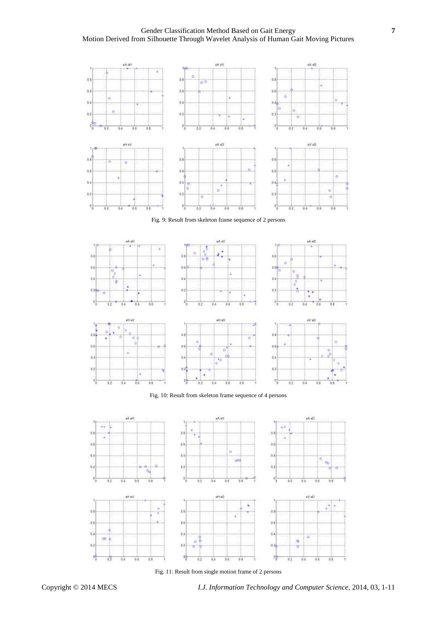Gender Classification Method Based on Gait Energy **7** Motion Derived from Silhouette Through Wavelet Analysis of Human Gait Moving Pictures



Fig. 9: Result from skeleton frame sequence of 2 persons



Fig. 10: Result from skeleton frame sequence of 4 persons



Fig. 11: Result from single motion frame of 2 persons

 $\overline{n}$ 

9

 $^{\circ}$ 

Q.

H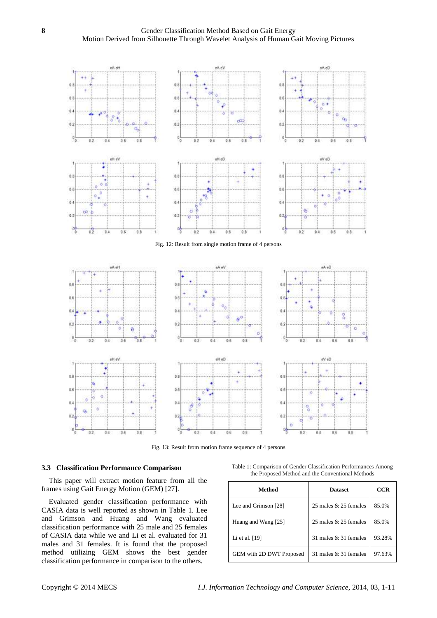

Fig. 13: Result from motion frame sequence of 4 persons

## **3.3 Classification Performance Comparison**

This paper will extract motion feature from all the frames using Gait Energy Motion (GEM) [27].

Evaluated gender classification performance with CASIA data is well reported as shown in Table 1. Lee and Grimson and Huang and Wang evaluated classification performance with 25 male and 25 females of CASIA data while we and Li et al. evaluated for 31 males and 31 females. It is found that the proposed method utilizing GEM shows the best gender classification performance in comparison to the others.

| Table 1: Comparison of Gender Classification Performances Among |  |  |                                                  |  |
|-----------------------------------------------------------------|--|--|--------------------------------------------------|--|
|                                                                 |  |  | the Proposed Method and the Conventional Methods |  |

| Method                   | <b>Dataset</b>        | <b>CCR</b> |
|--------------------------|-----------------------|------------|
| Lee and Grimson [28]     | 25 males & 25 females | 85.0%      |
| Huang and Wang [25]      | 25 males & 25 females | 85.0%      |
| Li et al. [19]           | 31 males & 31 females | 93.28%     |
| GEM with 2D DWT Proposed | 31 males & 31 females | 97.63%     |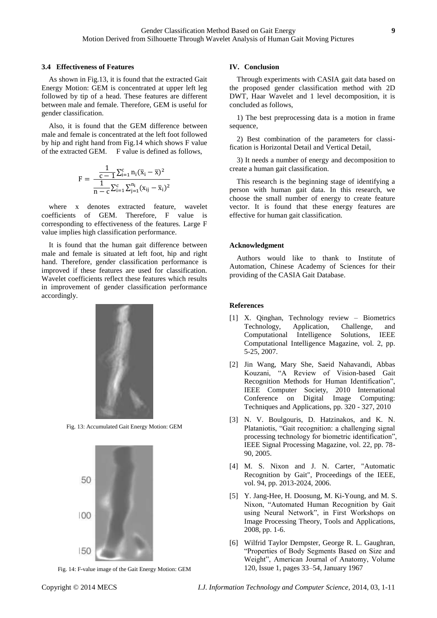#### **3.4 Effectiveness of Features**

As shown in Fig.13, it is found that the extracted Gait Energy Motion: GEM is concentrated at upper left leg followed by tip of a head. These features are different between male and female. Therefore, GEM is useful for gender classification.

Also, it is found that the GEM difference between male and female is concentrated at the left foot followed by hip and right hand from Fig.14 which shows F value of the extracted GEM. F value is defined as follows,

$$
F = \frac{\frac{1}{c-1}\sum_{i=1}^{c}n_{i}(\overline{x}_{i}-\overline{x})^{2}}{\frac{1}{n-c}\sum_{i=1}^{c}\sum_{j=1}^{n_{i}}(x_{ij}-\overline{x}_{i})^{2}}
$$

where x denotes extracted feature, wavelet coefficients of GEM. Therefore, F value is corresponding to effectiveness of the features. Large F value implies high classification performance.

It is found that the human gait difference between male and female is situated at left foot, hip and right hand. Therefore, gender classification performance is improved if these features are used for classification. Wavelet coefficients reflect these features which results in improvement of gender classification performance accordingly.



Fig. 13: Accumulated Gait Energy Motion: GEM



Fig. 14: F-value image of the Gait Energy Motion: GEM

#### **IV. Conclusion**

Through experiments with CASIA gait data based on the proposed gender classification method with 2D DWT, Haar Wavelet and 1 level decomposition, it is concluded as follows,

1) The best preprocessing data is a motion in frame sequence,

2) Best combination of the parameters for classification is Horizontal Detail and Vertical Detail,

3) It needs a number of energy and decomposition to create a human gait classification.

This research is the beginning stage of identifying a person with human gait data. In this research, we choose the small number of energy to create feature vector. It is found that these energy features are effective for human gait classification.

#### **Acknowledgment**

Authors would like to thank to Institute of Automation, Chinese Academy of Sciences for their providing of the CASIA Gait Database.

#### **References**

- [1] X. Qinghan, Technology review Biometrics Technology, Application, Challenge, and Computational Intelligence Solutions, IEEE Computational Intelligence Magazine, vol. 2, pp. 5-25, 2007.
- [2] Jin Wang, Mary She, Saeid Nahavandi, Abbas Kouzani, "A Review of Vision-based Gait Recognition Methods for Human Identification", IEEE Computer Society, 2010 International Conference on Digital Image Computing: Techniques and Applications, pp. 320 - 327, 2010
- [3] N. V. Boulgouris, D. Hatzinakos, and K. N. Plataniotis, "Gait recognition: a challenging signal processing technology for biometric identification", IEEE Signal Processing Magazine, vol. 22, pp. 78- 90, 2005.
- [4] M. S. Nixon and J. N. Carter, "Automatic Recognition by Gait", Proceedings of the IEEE, vol. 94, pp. 2013-2024, 2006.
- [5] Y. Jang-Hee, H. Doosung, M. Ki-Young, and M. S. Nixon, "Automated Human Recognition by Gait using Neural Network", in First Workshops on Image Processing Theory, Tools and Applications, 2008, pp. 1-6.
- [6] Wilfrid Taylor Dempster, George R. L. Gaughran, "Properties of Body Segments Based on Size and Weight", American Journal of Anatomy, Volume 120, Issue 1, pages 33–54, January 1967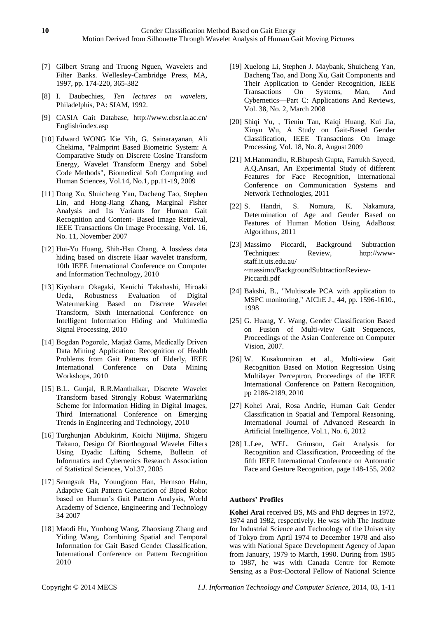- [7] Gilbert Strang and Truong Nguen, Wavelets and Filter Banks. Wellesley-Cambridge Press, MA, 1997, pp. 174-220, 365-382
- [8] I. Daubechies, *Ten lectures on wavelets*, Philadelphis, PA: SIAM, 1992.
- [9] CASIA Gait Database, http://www.cbsr.ia.ac.cn/ English/index.asp
- [10] Edward WONG Kie Yih, G. Sainarayanan, Ali Chekima, "Palmprint Based Biometric System: A Comparative Study on Discrete Cosine Transform Energy, Wavelet Transform Energy and Sobel Code Methods", Biomedical Soft Computing and Human Sciences, Vol.14, No.1, pp.11-19, 2009
- [11] Dong Xu, Shuicheng Yan, Dacheng Tao, Stephen Lin, and Hong-Jiang Zhang, Marginal Fisher Analysis and Its Variants for Human Gait Recognition and Content- Based Image Retrieval, IEEE Transactions On Image Processing, Vol. 16, No. 11, November 2007
- [12] Hui-Yu Huang, Shih-Hsu Chang, A lossless data hiding based on discrete Haar wavelet transform, 10th IEEE International Conference on Computer and Information Technology, 2010
- [13] Kiyoharu Okagaki, Kenichi Takahashi, Hiroaki Ueda, Robustness Evaluation of Digital Watermarking Based on Discrete Wavelet Transform, Sixth International Conference on Intelligent Information Hiding and Multimedia Signal Processing, 2010
- [14] Bogdan Pogorelc, Matjaž Gams, Medically Driven Data Mining Application: Recognition of Health Problems from Gait Patterns of Elderly, IEEE International Conference on Data Mining Workshops, 2010
- [15] B.L. Gunjal, R.R.Manthalkar, Discrete Wavelet Transform based Strongly Robust Watermarking Scheme for Information Hiding in Digital Images, Third International Conference on Emerging Trends in Engineering and Technology, 2010
- [16] Turghunjan Abdukirim, Koichi Niijima, Shigeru Takano, Design Of Biorthogonal Wavelet Filters Using Dyadic Lifting Scheme, Bulletin of Informatics and Cybernetics Research Association of Statistical Sciences, Vol.37, 2005
- [17] Seungsuk Ha, Youngjoon Han, Hernsoo Hahn, Adaptive Gait Pattern Generation of Biped Robot based on Human's Gait Pattern Analysis, World Academy of Science, Engineering and Technology 34 2007
- [18] Maodi Hu, Yunhong Wang, Zhaoxiang Zhang and Yiding Wang, Combining Spatial and Temporal Information for Gait Based Gender Classification, International Conference on Pattern Recognition 2010
- [19] Xuelong Li, Stephen J. Maybank, Shuicheng Yan, Dacheng Tao, and Dong Xu, Gait Components and Their Application to Gender Recognition, IEEE Transactions On Systems, Man, And Cybernetics—Part C: Applications And Reviews, Vol. 38, No. 2, March 2008
- [20] Shiqi Yu, , Tieniu Tan, Kaiqi Huang, Kui Jia, Xinyu Wu, A Study on Gait-Based Gender Classification, IEEE Transactions On Image Processing, Vol. 18, No. 8, August 2009
- [21] M.Hanmandlu, R.Bhupesh Gupta, Farrukh Sayeed, A.Q.Ansari, An Experimental Study of different Features for Face Recognition, International Conference on Communication Systems and Network Technologies, 2011
- [22] S. Handri, S. Nomura, K. Nakamura, Determination of Age and Gender Based on Features of Human Motion Using AdaBoost Algorithms, 2011
- [23] Massimo Piccardi, Background Subtraction Techniques: Review, http://wwwstaff.it.uts.edu.au/ ~massimo/BackgroundSubtractionReview-Piccardi.pdf
- [24] Bakshi, B., "Multiscale PCA with application to MSPC monitoring," AIChE J., 44, pp. 1596-1610., 1998
- [25] G. Huang, Y. Wang, Gender Classification Based on Fusion of Multi-view Gait Sequences, Proceedings of the Asian Conference on Computer Vision, 2007.
- [26] W. Kusakunniran et al., Multi-view Gait Recognition Based on Motion Regression Using Multilayer Perceptron, Proceedings of the IEEE International Conference on Pattern Recognition, pp 2186-2189, 2010
- [27] Kohei Arai, Rosa Andrie, Human Gait Gender Classification in Spatial and Temporal Reasoning, International Journal of Advanced Research in Artificial Intelligence, Vol.1, No. 6, 2012
- [28] L.Lee, WEL. Grimson, Gait Analysis for Recognition and Classification, Proceeding of the fifth IEEE International Conference on Automatic Face and Gesture Recognition, page 148-155, 2002

# **Authors' Profiles**

**Kohei Arai** received BS, MS and PhD degrees in 1972, 1974 and 1982, respectively. He was with The Institute for Industrial Science and Technology of the University of Tokyo from April 1974 to December 1978 and also was with National Space Development Agency of Japan from January, 1979 to March, 1990. During from 1985 to 1987, he was with Canada Centre for Remote Sensing as a Post-Doctoral Fellow of National Science